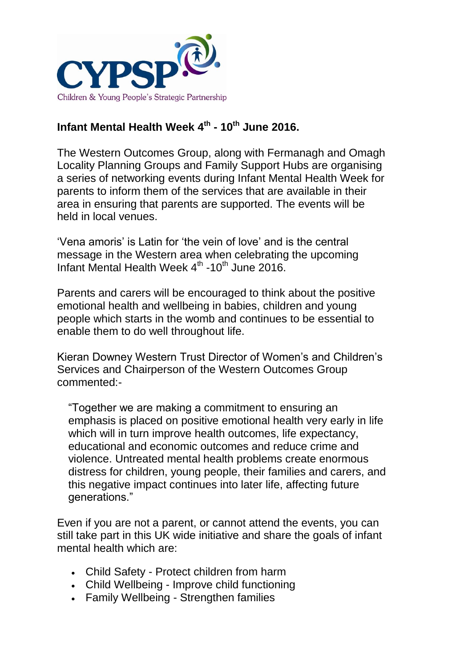

## **Infant Mental Health Week 4th - 10th June 2016.**

The Western Outcomes Group, along with Fermanagh and Omagh Locality Planning Groups and Family Support Hubs are organising a series of networking events during Infant Mental Health Week for parents to inform them of the services that are available in their area in ensuring that parents are supported. The events will be held in local venues.

'Vena amoris' is Latin for 'the vein of love' and is the central message in the Western area when celebrating the upcoming Infant Mental Health Week 4<sup>th</sup> -10<sup>th</sup> June 2016.

Parents and carers will be encouraged to think about the positive emotional health and wellbeing in babies, children and young people which starts in the womb and continues to be essential to enable them to do well throughout life.

Kieran Downey Western Trust Director of Women's and Children's Services and Chairperson of the Western Outcomes Group commented:-

"Together we are making a commitment to ensuring an emphasis is placed on positive emotional health very early in life which will in turn improve health outcomes, life expectancy, educational and economic outcomes and reduce crime and violence. Untreated mental health problems create enormous distress for children, young people, their families and carers, and this negative impact continues into later life, affecting future generations."

Even if you are not a parent, or cannot attend the events, you can still take part in this UK wide initiative and share the goals of infant mental health which are:

- Child Safety Protect children from harm
- Child Wellbeing Improve child functioning
- Family Wellbeing Strengthen families